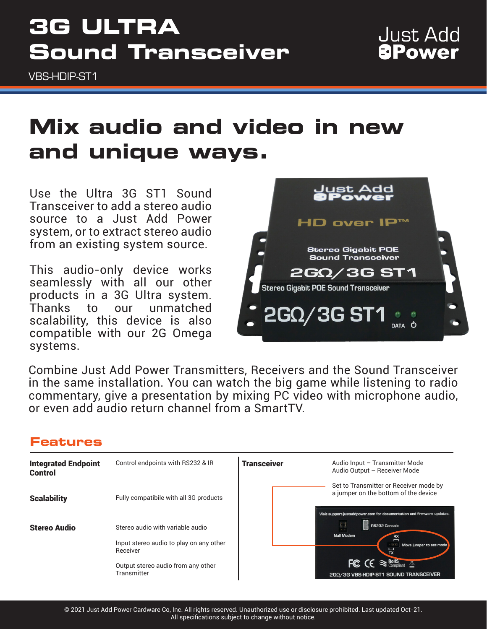# **3G ULTRA Sound Transceiver**

VBS-HDIP-ST1

# **Mix audio and video in new and unique ways.**

Use the Ultra 3G ST1 Sound Transceiver to add a stereo audio source to a Just Add Power system, or to extract stereo audio from an existing system source.

This audio-only device works seamlessly with all our other products in a 3G Ultra system. Thanks to our unmatched scalability, this device is also compatible with our 2G Omega systems.



Combine Just Add Power Transmitters, Receivers and the Sound Transceiver in the same installation. You can watch the big game while listening to radio commentary, give a presentation by mixing PC video with microphone audio, or even add audio return channel from a SmartTV.

### **Features**

| <b>Integrated Endpoint</b><br>Control | Control endpoints with RS232 & IR                   | <b>Transceiver</b> | Audio Input - Transmitter Mode<br>Audio Output - Receiver Mode                                               |
|---------------------------------------|-----------------------------------------------------|--------------------|--------------------------------------------------------------------------------------------------------------|
| <b>Scalability</b>                    | Fully compatibile with all 3G products              |                    | Set to Transmitter or Receiver mode by<br>a jumper on the bottom of the device                               |
| <b>Stereo Audio</b>                   | Stereo audio with variable audio                    |                    | Visit support.justaddpower.com for documentation and firmware updates.<br>RS232 Console<br><b>Null Modem</b> |
|                                       | Input stereo audio to play on any other<br>Receiver |                    | Move jumper to set mode                                                                                      |
|                                       | Output stereo audio from any other<br>Transmitter   |                    | FC $\mathsf{CE} \approx \mathsf{R}_\mathsf{Comollant}$<br>2GΩ/3G VBS-HDIP-ST1 SOUND TRANSCEIVER              |